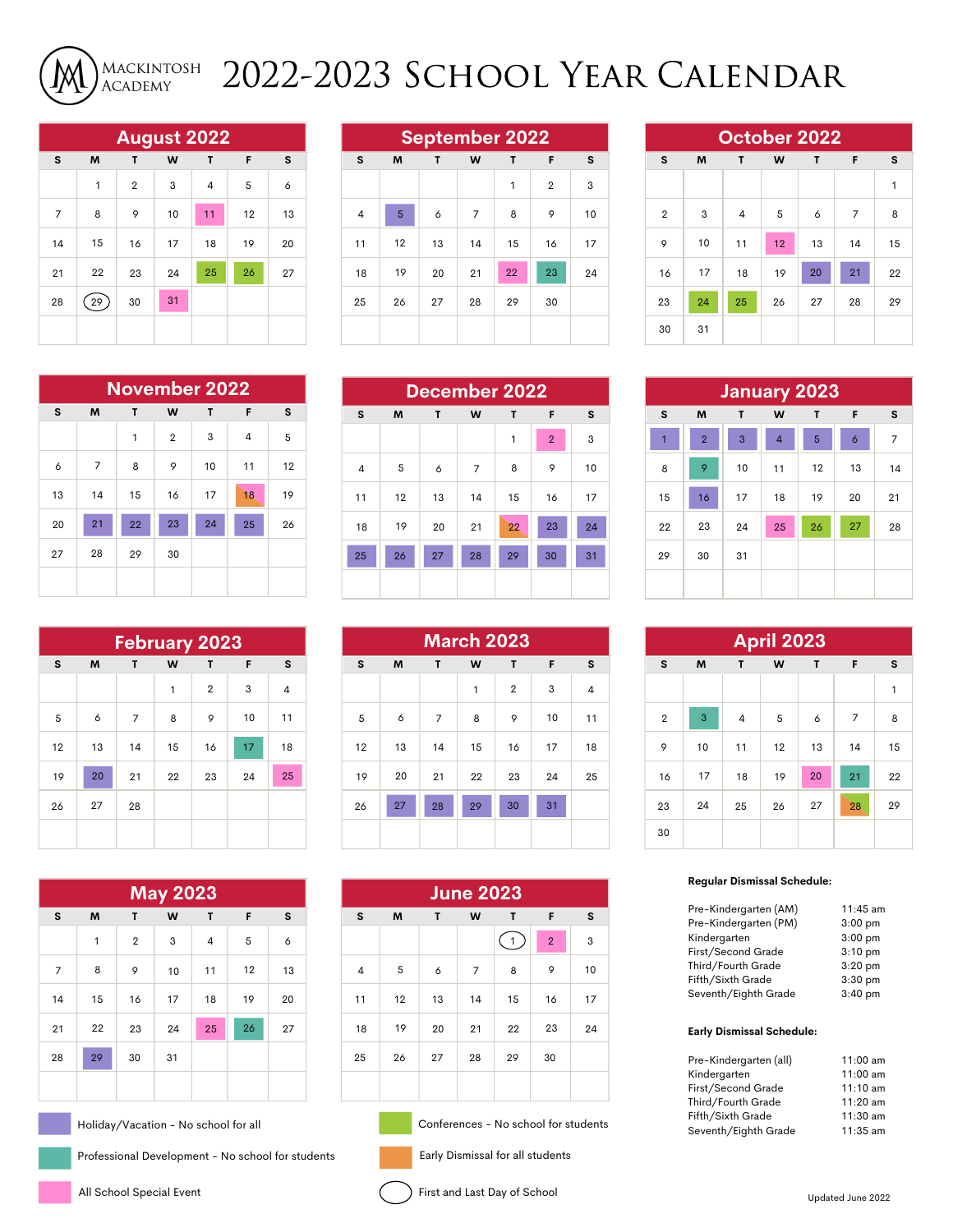

## 2022-2023 School Year Calendar

| <b>August 2022</b> |    |                |    |    |    |    |  |  |  |
|--------------------|----|----------------|----|----|----|----|--|--|--|
| s                  | M  | F              | s  |    |    |    |  |  |  |
|                    | 1  | $\overline{2}$ | 3  | 4  | 5  | 6  |  |  |  |
| 7                  | 8  | 9              | 10 | 11 | 12 | 13 |  |  |  |
| 14                 | 15 | 16             | 17 | 18 | 19 | 20 |  |  |  |
| 21                 | 22 | 23             | 24 | 25 | 26 | 27 |  |  |  |
| 28                 | 29 | 30             | 31 |    |    |    |  |  |  |
|                    |    |                |    |    |    |    |  |  |  |

| <b>September 2022</b> |                            |    |                |    |                |    |  |  |
|-----------------------|----------------------------|----|----------------|----|----------------|----|--|--|
| s                     | M<br>F<br>T<br>W<br>T<br>s |    |                |    |                |    |  |  |
|                       |                            |    |                | 1  | $\overline{2}$ | 3  |  |  |
| $\overline{4}$        | 5                          | 6  | $\overline{7}$ | 8  | 9              | 10 |  |  |
| 11                    | 12                         | 13 | 14             | 15 | 16             | 17 |  |  |
| 18                    | 19                         | 20 | 21             | 22 | 23             | 24 |  |  |
| 25                    | 26                         | 27 | 28             | 29 | 30             |    |  |  |
|                       |                            |    |                |    |                |    |  |  |

| October 2022   |    |                  |    |    |    |    |  |  |  |  |
|----------------|----|------------------|----|----|----|----|--|--|--|--|
| s              | M  | T<br>W<br>F<br>T |    |    |    |    |  |  |  |  |
|                |    |                  |    |    |    | 1  |  |  |  |  |
| $\overline{2}$ | 3  | 4                | 5  | 6  | 7  | 8  |  |  |  |  |
| 9              | 10 | 11               | 12 | 13 | 14 | 15 |  |  |  |  |
| 16             | 17 | 18               | 19 | 20 | 21 | 22 |  |  |  |  |
| 23             | 24 | 25               | 26 | 27 | 28 | 29 |  |  |  |  |
| 30             | 31 |                  |    |    |    |    |  |  |  |  |

| <b>November 2022</b> |                            |    |                |    |    |    |  |  |  |
|----------------------|----------------------------|----|----------------|----|----|----|--|--|--|
| s                    | T<br>W<br>F<br>S<br>M<br>T |    |                |    |    |    |  |  |  |
|                      |                            | 1  | $\overline{2}$ | 3  | 4  | 5  |  |  |  |
| 6                    | 7                          | 8  | 9              | 10 | 11 | 12 |  |  |  |
| 13                   | 14                         | 15 | 16             | 17 | 18 | 19 |  |  |  |
| 20                   | 21                         | 22 | 23             | 24 | 25 | 26 |  |  |  |
| 27                   | 28                         | 29 | 30             |    |    |    |  |  |  |
|                      |                            |    |                |    |    |    |  |  |  |

| <b>February 2023</b> |    |                  |    |                |    |    |  |  |  |  |
|----------------------|----|------------------|----|----------------|----|----|--|--|--|--|
| s                    | M  | W<br>T<br>T<br>F |    |                |    |    |  |  |  |  |
|                      |    |                  | 1  | $\overline{2}$ | 3  | 4  |  |  |  |  |
| 5                    | 6  | 7                | 8  | 9              | 10 | 11 |  |  |  |  |
| 12                   | 13 | 14               | 15 | 16             | 17 | 18 |  |  |  |  |
| 19                   | 20 | 21               | 22 | 23             | 24 | 25 |  |  |  |  |
| 26                   | 27 | 28               |    |                |    |    |  |  |  |  |
|                      |    |                  |    |                |    |    |  |  |  |  |

| <b>May 2023</b> |    |                |    |    |    |    |  |  |  |  |
|-----------------|----|----------------|----|----|----|----|--|--|--|--|
| s               | M  | F              | s  |    |    |    |  |  |  |  |
|                 | 1  | $\overline{2}$ | 3  | 4  | 5  | 6  |  |  |  |  |
| 7               | 8  | 9              | 10 | 11 | 12 | 13 |  |  |  |  |
| 14              | 15 | 16             | 17 | 18 | 19 | 20 |  |  |  |  |
| 21              | 22 | 23             | 24 | 25 | 26 | 27 |  |  |  |  |
| 28              | 29 | 30             | 31 |    |    |    |  |  |  |  |
|                 |    |                |    |    |    |    |  |  |  |  |

Holiday/Vacation - No school for all

Professional Development - No school for students

| December 2022            |    |                       |                |    |    |    |  |  |  |
|--------------------------|----|-----------------------|----------------|----|----|----|--|--|--|
| s                        | M  | W<br>F<br>S<br>T<br>T |                |    |    |    |  |  |  |
| $\overline{2}$<br>1<br>3 |    |                       |                |    |    |    |  |  |  |
| 4                        | 5  | 6                     | $\overline{7}$ | 8  | 9  | 10 |  |  |  |
| 11                       | 12 | 13                    | 14             | 15 | 16 | 17 |  |  |  |
| 18                       | 19 | 20                    | 21             | 22 | 23 | 24 |  |  |  |
| 25                       | 26 | 27                    | 28             | 29 | 30 | 31 |  |  |  |
|                          |    |                       |                |    |    |    |  |  |  |
|                          |    |                       |                |    |    |    |  |  |  |

| <b>March 2023</b>        |                            |    |    |          |    |    |  |  |  |
|--------------------------|----------------------------|----|----|----------|----|----|--|--|--|
| s                        | M<br>W<br>F<br>s<br>T<br>т |    |    |          |    |    |  |  |  |
| 3<br>$\overline{2}$<br>1 |                            |    |    |          |    | 4  |  |  |  |
| 5                        | 6                          | 7  | 8  | 9        | 10 | 11 |  |  |  |
| 12                       | 13                         | 14 | 15 | 16       | 17 | 18 |  |  |  |
| 19                       | 20                         | 21 | 22 | 24<br>23 |    | 25 |  |  |  |
| 26                       | 27                         | 28 | 29 | 30       | 31 |    |  |  |  |
|                          |                            |    |    |          |    |    |  |  |  |

| <b>June 2023</b> |                       |    |                |    |                |    |  |  |  |
|------------------|-----------------------|----|----------------|----|----------------|----|--|--|--|
| S                | F<br>M<br>W<br>T<br>T |    |                |    |                |    |  |  |  |
|                  |                       |    |                | 1  | $\overline{2}$ | 3  |  |  |  |
| 4                | 5                     | 6  | $\overline{7}$ | 8  | 9              | 10 |  |  |  |
| 11               | 12                    | 13 | 14             | 15 | 16             | 17 |  |  |  |
| 18               | 19                    | 20 | 21             | 22 | 23             | 24 |  |  |  |
| 25               | 26                    | 27 | 28             | 29 | 30             |    |  |  |  |
|                  |                       |    |                |    |                |    |  |  |  |

Conferences - No school for students

y Dismissal for all students

| ır<br>--- |
|-----------|

| 30 | 31             |              |    |    |    |    |
|----|----------------|--------------|----|----|----|----|
|    |                |              |    |    |    |    |
|    |                | January 2023 |    |    |    |    |
| S  | M              | T            | W  | T  | F  | s  |
| 1  | $\overline{2}$ | 3            | 4  | 5  | 6  | 7  |
| 8  | 9              | 10           | 11 | 12 | 13 | 14 |
| 15 | 16             | 17           | 18 | 19 | 20 | 21 |
| 22 | 23             | 24           | 25 | 26 | 27 | 28 |
| 29 | 30             | 31           |    |    |    |    |
|    |                |              |    |    |    |    |

|    |                |                |    |    | <b>April 2023</b> |    |                |    |
|----|----------------|----------------|----|----|-------------------|----|----------------|----|
| F  | s              | s              | M  | T  | W                 | T  | F              | s  |
| 3  | $\overline{4}$ |                |    |    |                   |    |                | 1  |
| 10 | 11             | $\overline{2}$ | 3  | 4  | 5                 | 6  | $\overline{7}$ | 8  |
| 17 | 18             | 9              | 10 | 11 | 12                | 13 | 14             | 15 |
| 24 | 25             | 16             | 17 | 18 | 19                | 20 | 21             | 22 |
| 31 |                | 23             | 24 | 25 | 26                | 27 | 28             | 29 |
|    |                | 30             |    |    |                   |    |                |    |

## **Regular Dismissal Schedule:**

| $11:45$ am |
|------------|
| $3:00$ pm  |
| $3:00$ pm  |
| $3:10$ pm  |
| $3:20$ pm  |
| $3:30$ pm  |
| $3:40$ pm  |
|            |

## **Early Dismissal Schedule:**

| Pre-Kindergarten (all) | 11:00 am   |
|------------------------|------------|
| Kindergarten           | 11:00 am   |
| First/Second Grade     | $11:10$ am |
| Third/Fourth Grade     | $11:20$ am |
| Fifth/Sixth Grade      | $11:30$ am |
| Seventh/Eighth Grade   | $11:35$ am |
|                        |            |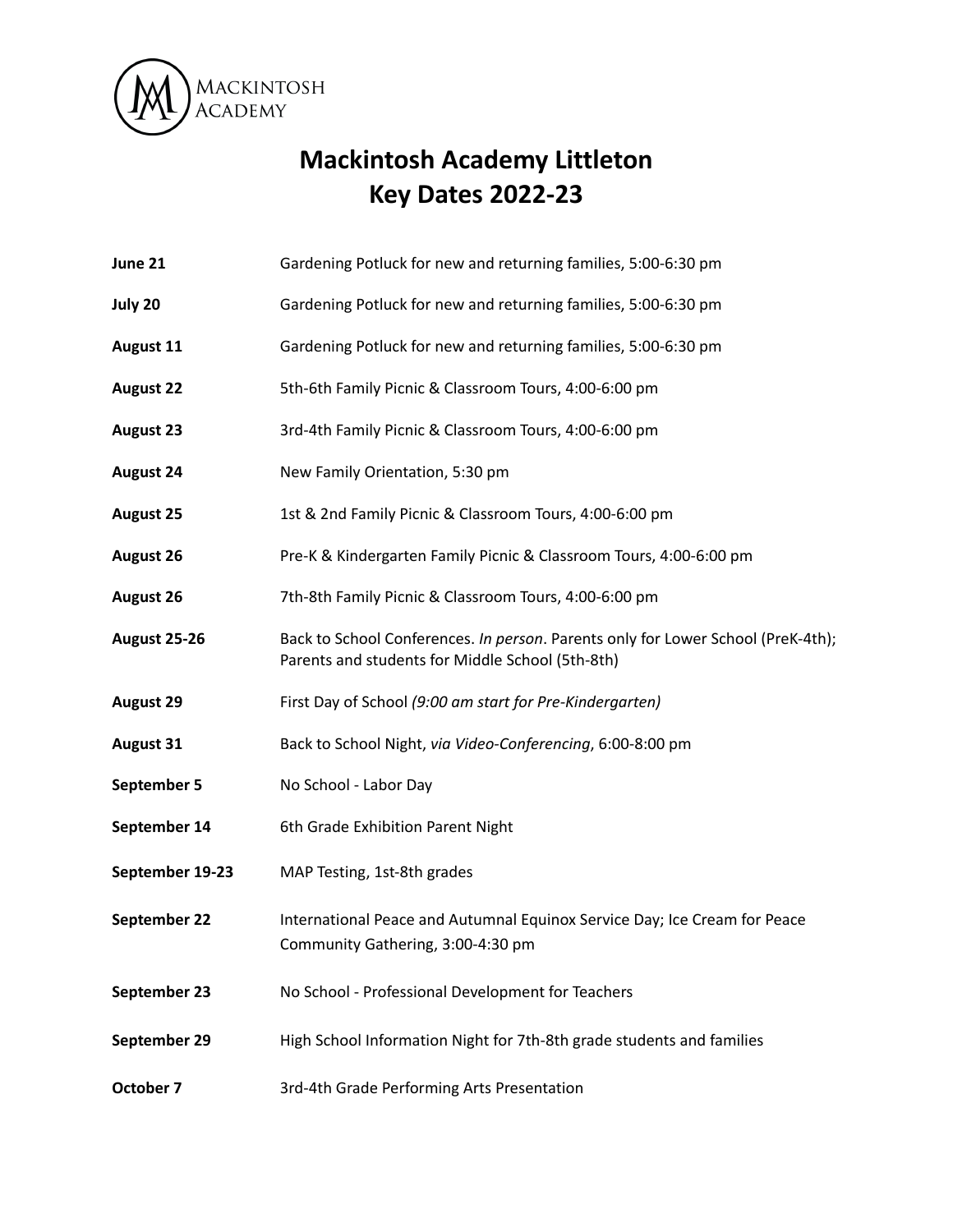

## **Mackintosh Academy Littleton Key Dates 2022-23**

- **June 21** Gardening Potluck for new and returning families, 5:00-6:30 pm
- **July 20** Gardening Potluck for new and returning families, 5:00-6:30 pm
- **August 11** Gardening Potluck for new and returning families, 5:00-6:30 pm
- **August 22** 5th-6th Family Picnic & Classroom Tours, 4:00-6:00 pm
- **August 23** 3rd-4th Family Picnic & Classroom Tours, 4:00-6:00 pm
- **August 24** New Family Orientation, 5:30 pm
- **August 25** 1st & 2nd Family Picnic & Classroom Tours, 4:00-6:00 pm
- **August 26** Pre-K & Kindergarten Family Picnic & Classroom Tours, 4:00-6:00 pm
- **August 26** 7th-8th Family Picnic & Classroom Tours, 4:00-6:00 pm
- **August 25-26** Back to School Conferences. *In person*. Parents only for Lower School (PreK-4th); Parents and students for Middle School (5th-8th)
- **August 29** First Day of School *(9:00 am start for Pre-Kindergarten)*
- **August 31** Back to School Night, *via Video-Conferencing*, 6:00-8:00 pm
- **September 5** No School Labor Day
- **September 14** 6th Grade Exhibition Parent Night
- **September 19-23** MAP Testing, 1st-8th grades
- **September 22** International Peace and Autumnal Equinox Service Day; Ice Cream for Peace Community Gathering, 3:00-4:30 pm
- **September 23** No School Professional Development for Teachers
- **September 29** High School Information Night for 7th-8th grade students and families
- **October 7** 3rd-4th Grade Performing Arts Presentation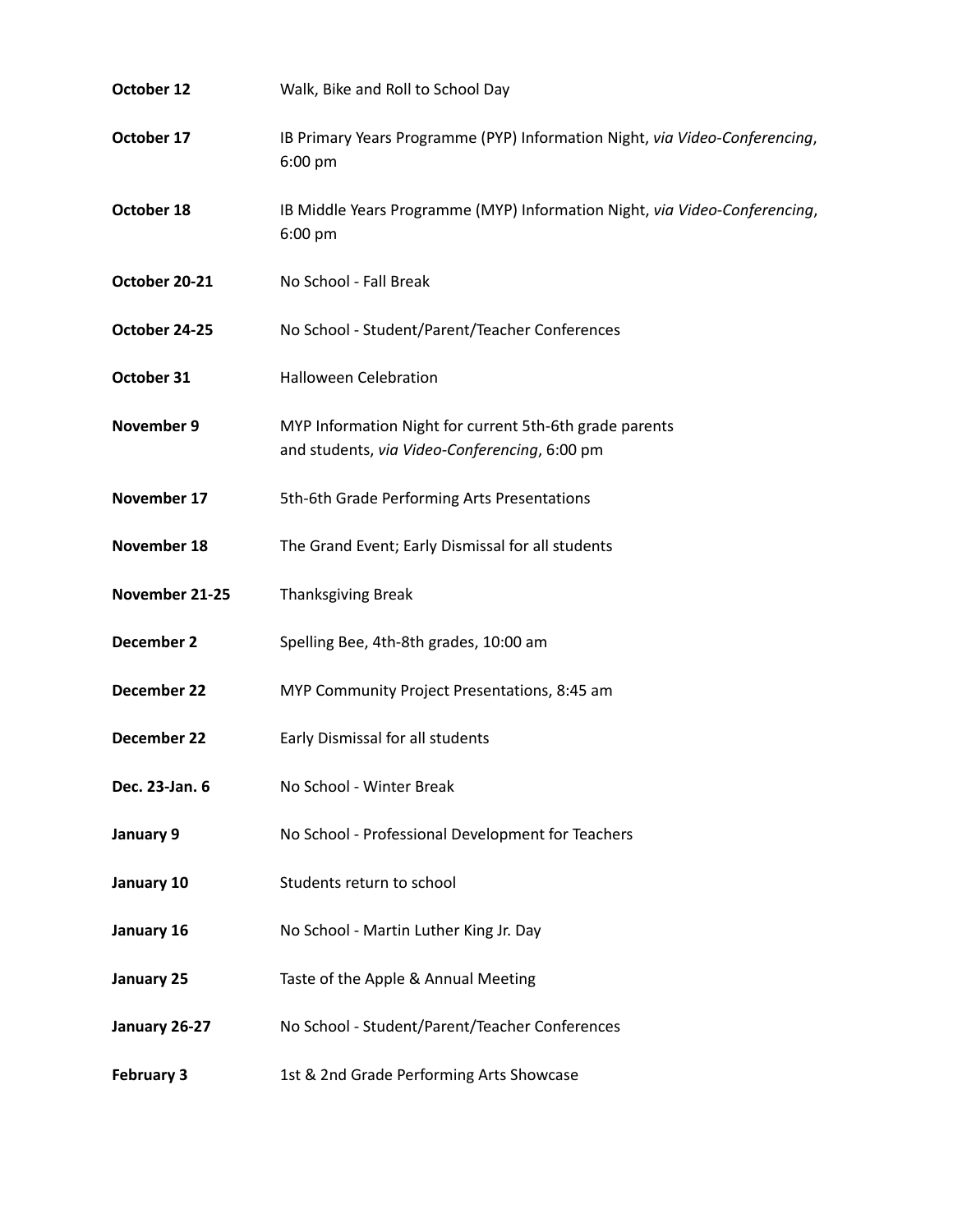| October 12        | Walk, Bike and Roll to School Day                                                                        |
|-------------------|----------------------------------------------------------------------------------------------------------|
| October 17        | IB Primary Years Programme (PYP) Information Night, via Video-Conferencing,<br>6:00 pm                   |
| October 18        | IB Middle Years Programme (MYP) Information Night, via Video-Conferencing,<br>6:00 pm                    |
| October 20-21     | No School - Fall Break                                                                                   |
| October 24-25     | No School - Student/Parent/Teacher Conferences                                                           |
| October 31        | <b>Halloween Celebration</b>                                                                             |
| November 9        | MYP Information Night for current 5th-6th grade parents<br>and students, via Video-Conferencing, 6:00 pm |
| November 17       | 5th-6th Grade Performing Arts Presentations                                                              |
| November 18       | The Grand Event; Early Dismissal for all students                                                        |
| November 21-25    | <b>Thanksgiving Break</b>                                                                                |
| December 2        | Spelling Bee, 4th-8th grades, 10:00 am                                                                   |
| December 22       | MYP Community Project Presentations, 8:45 am                                                             |
| December 22       | Early Dismissal for all students                                                                         |
| Dec. 23-Jan. 6    | No School - Winter Break                                                                                 |
| January 9         | No School - Professional Development for Teachers                                                        |
| January 10        | Students return to school                                                                                |
| January 16        | No School - Martin Luther King Jr. Day                                                                   |
| January 25        | Taste of the Apple & Annual Meeting                                                                      |
| January 26-27     | No School - Student/Parent/Teacher Conferences                                                           |
| <b>February 3</b> | 1st & 2nd Grade Performing Arts Showcase                                                                 |